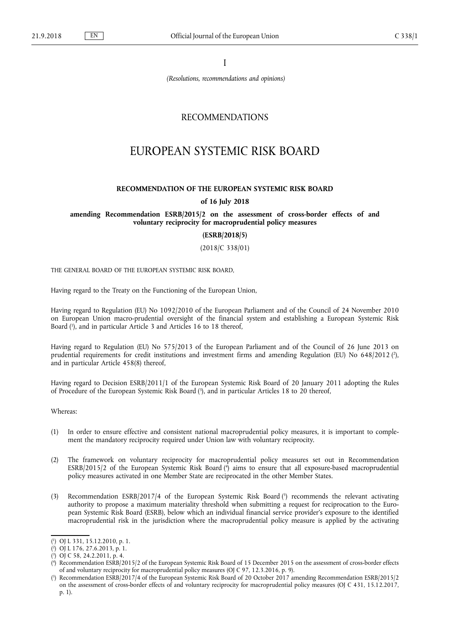I

*(Resolutions, recommendations and opinions)*

# RECOMMENDATIONS

# EUROPEAN SYSTEMIC RISK BOARD

#### **RECOMMENDATION OF THE EUROPEAN SYSTEMIC RISK BOARD**

#### **of 16 July 2018**

### **amending Recommendation ESRB/2015/2 on the assessment of cross-border effects of and voluntary reciprocity for macroprudential policy measures**

**(ESRB/2018/5)**

(2018/C 338/01)

THE GENERAL BOARD OF THE EUROPEAN SYSTEMIC RISK BOARD,

Having regard to the Treaty on the Functioning of the European Union,

Having regard to Regulation (EU) No 1092/2010 of the European Parliament and of the Council of 24 November 2010 on European Union macro-prudential oversight of the financial system and establishing a European Systemic Risk Board ( 1 ), and in particular Article 3 and Articles 16 to 18 thereof,

Having regard to Regulation (EU) No 575/2013 of the European Parliament and of the Council of 26 June 2013 on prudential requirements for credit institutions and investment firms and amending Regulation (EU) No 648/2012 (?), and in particular Article 458(8) thereof,

Having regard to Decision ESRB/2011/1 of the European Systemic Risk Board of 20 January 2011 adopting the Rules of Procedure of the European Systemic Risk Board ( 3 ), and in particular Articles 18 to 20 thereof,

Whereas:

- (1) In order to ensure effective and consistent national macroprudential policy measures, it is important to complement the mandatory reciprocity required under Union law with voluntary reciprocity.
- (2) The framework on voluntary reciprocity for macroprudential policy measures set out in Recommendation ESRB/2015/2 of the European Systemic Risk Board ( 4 ) aims to ensure that all exposure-based macroprudential policy measures activated in one Member State are reciprocated in the other Member States.
- (3) Recommendation ESRB/2017/4 of the European Systemic Risk Board ( 5 ) recommends the relevant activating authority to propose a maximum materiality threshold when submitting a request for reciprocation to the European Systemic Risk Board (ESRB), below which an individual financial service provider's exposure to the identified macroprudential risk in the jurisdiction where the macroprudential policy measure is applied by the activating

<sup>(</sup> 1 ) OJ L 331, 15.12.2010, p. 1.

<sup>(</sup> 2 ) OJ L 176, 27.6.2013, p. 1.

<sup>(</sup> 3 ) OJ C 58, 24.2.2011, p. 4.

<sup>(</sup> 4 ) Recommendation ESRB/2015/2 of the European Systemic Risk Board of 15 December 2015 on the assessment of cross-border effects of and voluntary reciprocity for macroprudential policy measures (OJ C 97, 12.3.2016, p. 9).

<sup>(</sup> 5 ) Recommendation ESRB/2017/4 of the European Systemic Risk Board of 20 October 2017 amending Recommendation ESRB/2015/2 on the assessment of cross-border effects of and voluntary reciprocity for macroprudential policy measures (OJ C 431, 15.12.2017, p. 1).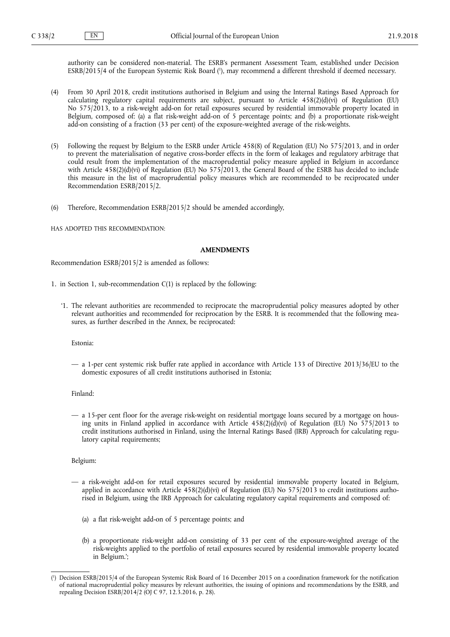authority can be considered non-material. The ESRB's permanent Assessment Team, established under Decision ESRB/2015/4 of the European Systemic Risk Board ( 1 ), may recommend a different threshold if deemed necessary.

- (4) From 30 April 2018, credit institutions authorised in Belgium and using the Internal Ratings Based Approach for calculating regulatory capital requirements are subject, pursuant to Article 458(2)(d)(vi) of Regulation (EU) No 575/2013, to a risk-weight add-on for retail exposures secured by residential immovable property located in Belgium, composed of: (a) a flat risk-weight add-on of 5 percentage points; and (b) a proportionate risk-weight add-on consisting of a fraction (33 per cent) of the exposure-weighted average of the risk-weights.
- (5) Following the request by Belgium to the ESRB under Article 458(8) of Regulation (EU) No 575/2013, and in order to prevent the materialisation of negative cross-border effects in the form of leakages and regulatory arbitrage that could result from the implementation of the macroprudential policy measure applied in Belgium in accordance with Article  $458(2)(d)(vi)$  of Regulation (EU) No  $575/2013$ , the General Board of the ESRB has decided to include this measure in the list of macroprudential policy measures which are recommended to be reciprocated under Recommendation ESRB/2015/2.
- (6) Therefore, Recommendation ESRB/2015/2 should be amended accordingly,

HAS ADOPTED THIS RECOMMENDATION:

#### **AMENDMENTS**

Recommendation ESRB/2015/2 is amended as follows:

- 1. in Section 1, sub-recommendation C(1) is replaced by the following:
	- '1. The relevant authorities are recommended to reciprocate the macroprudential policy measures adopted by other relevant authorities and recommended for reciprocation by the ESRB. It is recommended that the following measures, as further described in the Annex, be reciprocated:

Estonia:

— a 1-per cent systemic risk buffer rate applied in accordance with Article 133 of Directive 2013/36/EU to the domestic exposures of all credit institutions authorised in Estonia;

# Finland:

— a 15-per cent floor for the average risk-weight on residential mortgage loans secured by a mortgage on housing units in Finland applied in accordance with Article  $458(2)(d)(vi)$  of Regulation (EU) No  $575/2013$  to credit institutions authorised in Finland, using the Internal Ratings Based (IRB) Approach for calculating regulatory capital requirements;

Belgium:

- a risk-weight add-on for retail exposures secured by residential immovable property located in Belgium, applied in accordance with Article 458(2)(d)(vi) of Regulation (EU) No 575/2013 to credit institutions authorised in Belgium, using the IRB Approach for calculating regulatory capital requirements and composed of:
	- (a) a flat risk-weight add-on of 5 percentage points; and
	- (b) a proportionate risk-weight add-on consisting of 33 per cent of the exposure-weighted average of the risk-weights applied to the portfolio of retail exposures secured by residential immovable property located in Belgium.';

<sup>(</sup> 1 ) Decision ESRB/2015/4 of the European Systemic Risk Board of 16 December 2015 on a coordination framework for the notification of national macroprudential policy measures by relevant authorities, the issuing of opinions and recommendations by the ESRB, and repealing Decision ESRB/2014/2 (OJ C 97, 12.3.2016, p. 28).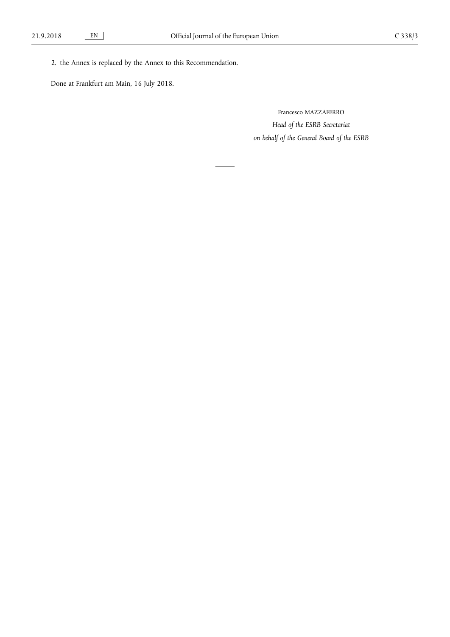2. the Annex is replaced by the Annex to this Recommendation.

Done at Frankfurt am Main, 16 July 2018.

Francesco MAZZAFERRO *Head of the ESRB Secretariat on behalf of the General Board of the ESRB*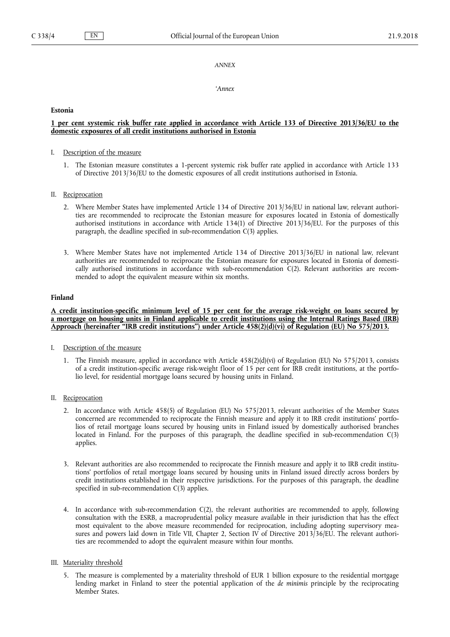#### *ANNEX*

*'Annex*

#### **Estonia**

# 1 per cent systemic risk buffer rate applied in accordance with Article 133 of Directive 2013/36/EU to the **domestic exposures of all credit institutions authorised in Estonia**

- I. Description of the measure
	- 1. The Estonian measure constitutes a 1-percent systemic risk buffer rate applied in accordance with Article 133 of Directive 2013/36/EU to the domestic exposures of all credit institutions authorised in Estonia.
- II. Reciprocation
	- 2. Where Member States have implemented Article 134 of Directive 2013/36/EU in national law, relevant authorities are recommended to reciprocate the Estonian measure for exposures located in Estonia of domestically authorised institutions in accordance with Article 134(1) of Directive 2013/36/EU. For the purposes of this paragraph, the deadline specified in sub-recommendation C(3) applies.
	- 3. Where Member States have not implemented Article 134 of Directive 2013/36/EU in national law, relevant authorities are recommended to reciprocate the Estonian measure for exposures located in Estonia of domestically authorised institutions in accordance with sub-recommendation  $C(2)$ . Relevant authorities are recommended to adopt the equivalent measure within six months.

# **Finland**

# A credit institution-specific minimum level of 15 per cent for the average risk-weight on loans secured by a mortgage on housing units in Finland applicable to credit institutions using the Internal Ratings Based (IRB) **Approach (hereinafter "IRB credit institutions") under Article 458(2)(d)(vi) of Regulation (EU) No 575/2013.**

- I. Description of the measure
	- 1. The Finnish measure, applied in accordance with Article 458(2)(d)(vi) of Regulation (EU) No 575/2013, consists of a credit institution-specific average risk-weight floor of 15 per cent for IRB credit institutions, at the portfolio level, for residential mortgage loans secured by housing units in Finland.

#### II. Reciprocation

- 2. In accordance with Article 458(5) of Regulation (EU) No 575/2013, relevant authorities of the Member States concerned are recommended to reciprocate the Finnish measure and apply it to IRB credit institutions' portfolios of retail mortgage loans secured by housing units in Finland issued by domestically authorised branches located in Finland. For the purposes of this paragraph, the deadline specified in sub-recommendation C(3) applies.
- 3. Relevant authorities are also recommended to reciprocate the Finnish measure and apply it to IRB credit institutions' portfolios of retail mortgage loans secured by housing units in Finland issued directly across borders by credit institutions established in their respective jurisdictions. For the purposes of this paragraph, the deadline specified in sub-recommendation C(3) applies.
- 4. In accordance with sub-recommendation C(2), the relevant authorities are recommended to apply, following consultation with the ESRB, a macroprudential policy measure available in their jurisdiction that has the effect most equivalent to the above measure recommended for reciprocation, including adopting supervisory measures and powers laid down in Title VII, Chapter 2, Section IV of Directive 2013/36/EU. The relevant authorities are recommended to adopt the equivalent measure within four months.

#### III. Materiality threshold

5. The measure is complemented by a materiality threshold of EUR 1 billion exposure to the residential mortgage lending market in Finland to steer the potential application of the *de minimis* principle by the reciprocating Member States.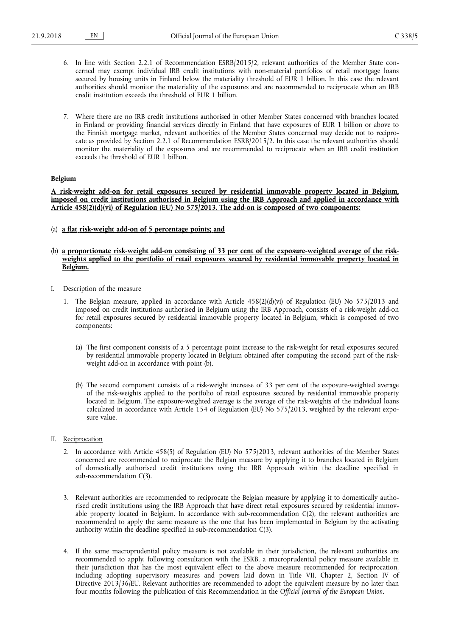- 6. In line with Section 2.2.1 of Recommendation ESRB/2015/2, relevant authorities of the Member State concerned may exempt individual IRB credit institutions with non-material portfolios of retail mortgage loans secured by housing units in Finland below the materiality threshold of EUR 1 billion. In this case the relevant authorities should monitor the materiality of the exposures and are recommended to reciprocate when an IRB credit institution exceeds the threshold of EUR 1 billion.
- 7. Where there are no IRB credit institutions authorised in other Member States concerned with branches located in Finland or providing financial services directly in Finland that have exposures of EUR 1 billion or above to the Finnish mortgage market, relevant authorities of the Member States concerned may decide not to reciprocate as provided by Section 2.2.1 of Recommendation ESRB/2015/2. In this case the relevant authorities should monitor the materiality of the exposures and are recommended to reciprocate when an IRB credit institution exceeds the threshold of EUR 1 billion.

# **Belgium**

**A risk-weight add-on for retail exposures secured by residential immovable property located in Belgium, imposed on credit institutions authorised in Belgium using the IRB Approach and applied in accordance with Article 458(2)(d)(vi) of Regulation (EU) No 575/2013. The add-on is composed of two components:**

(a) **a flat risk-weight add-on of 5 percentage points; and**

#### (b) **a proportionate risk-weight add-on consisting of 33 per cent of the exposure-weighted average of the riskweights applied to the portfolio of retail exposures secured by residential immovable property located in Belgium.**

- I. Description of the measure
	- 1. The Belgian measure, applied in accordance with Article 458(2)(d)(vi) of Regulation (EU) No 575/2013 and imposed on credit institutions authorised in Belgium using the IRB Approach, consists of a risk-weight add-on for retail exposures secured by residential immovable property located in Belgium, which is composed of two components:
		- (a) The first component consists of a 5 percentage point increase to the risk-weight for retail exposures secured by residential immovable property located in Belgium obtained after computing the second part of the riskweight add-on in accordance with point (b).
		- (b) The second component consists of a risk-weight increase of 33 per cent of the exposure-weighted average of the risk-weights applied to the portfolio of retail exposures secured by residential immovable property located in Belgium. The exposure-weighted average is the average of the risk-weights of the individual loans calculated in accordance with Article 154 of Regulation (EU) No 575/2013, weighted by the relevant exposure value.

#### II. Reciprocation

- 2. In accordance with Article 458(5) of Regulation (EU) No 575/2013, relevant authorities of the Member States concerned are recommended to reciprocate the Belgian measure by applying it to branches located in Belgium of domestically authorised credit institutions using the IRB Approach within the deadline specified in sub-recommendation C(3).
- 3. Relevant authorities are recommended to reciprocate the Belgian measure by applying it to domestically authorised credit institutions using the IRB Approach that have direct retail exposures secured by residential immovable property located in Belgium. In accordance with sub-recommendation  $C(2)$ , the relevant authorities are recommended to apply the same measure as the one that has been implemented in Belgium by the activating authority within the deadline specified in sub-recommendation C(3).
- 4. If the same macroprudential policy measure is not available in their jurisdiction, the relevant authorities are recommended to apply, following consultation with the ESRB, a macroprudential policy measure available in their jurisdiction that has the most equivalent effect to the above measure recommended for reciprocation, including adopting supervisory measures and powers laid down in Title VII, Chapter 2, Section IV of Directive 2013/36/EU. Relevant authorities are recommended to adopt the equivalent measure by no later than four months following the publication of this Recommendation in the *Official Journal of the European Union*.